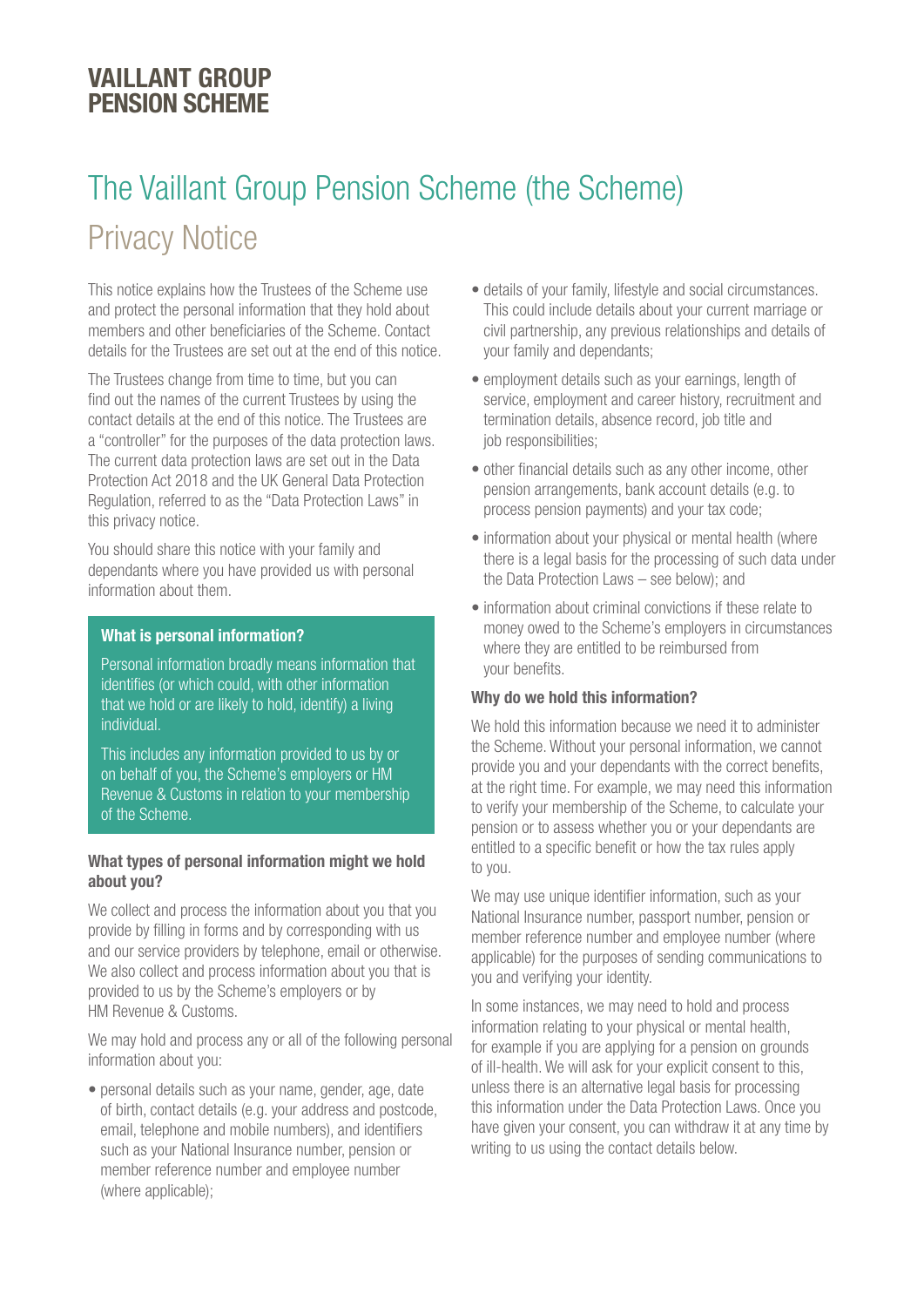# VAILLANT GROUP PENSION SCHEME

# The Vaillant Group Pension Scheme (the Scheme) Privacy Notice

This notice explains how the Trustees of the Scheme use and protect the personal information that they hold about members and other beneficiaries of the Scheme. Contact details for the Trustees are set out at the end of this notice.

The Trustees change from time to time, but you can find out the names of the current Trustees by using the contact details at the end of this notice. The Trustees are a "controller" for the purposes of the data protection laws. The current data protection laws are set out in the Data Protection Act 2018 and the UK General Data Protection Regulation, referred to as the "Data Protection Laws" in this privacy notice.

You should share this notice with your family and dependants where you have provided us with personal information about them.

## What is personal information?

Personal information broadly means information that identifies (or which could, with other information that we hold or are likely to hold, identify) a living individual.

This includes any information provided to us by or on behalf of you, the Scheme's employers or HM Revenue & Customs in relation to your membership of the Scheme.

#### What types of personal information might we hold about you?

We collect and process the information about you that you provide by filling in forms and by corresponding with us and our service providers by telephone, email or otherwise. We also collect and process information about you that is provided to us by the Scheme's employers or by HM Revenue & Customs.

We may hold and process any or all of the following personal information about you:

• personal details such as your name, gender, age, date of birth, contact details (e.g. your address and postcode, email, telephone and mobile numbers), and identifiers such as your National Insurance number, pension or member reference number and employee number (where applicable);

- details of your family, lifestyle and social circumstances. This could include details about your current marriage or civil partnership, any previous relationships and details of your family and dependants;
- employment details such as your earnings, length of service, employment and career history, recruitment and termination details, absence record, job title and job responsibilities;
- other financial details such as any other income, other pension arrangements, bank account details (e.g. to process pension payments) and your tax code;
- information about your physical or mental health (where there is a legal basis for the processing of such data under the Data Protection Laws – see below); and
- information about criminal convictions if these relate to money owed to the Scheme's employers in circumstances where they are entitled to be reimbursed from your benefits.

## Why do we hold this information?

We hold this information because we need it to administer the Scheme. Without your personal information, we cannot provide you and your dependants with the correct benefits, at the right time. For example, we may need this information to verify your membership of the Scheme, to calculate your pension or to assess whether you or your dependants are entitled to a specific benefit or how the tax rules apply to you.

We may use unique identifier information, such as your National Insurance number, passport number, pension or member reference number and employee number (where applicable) for the purposes of sending communications to you and verifying your identity.

In some instances, we may need to hold and process information relating to your physical or mental health, for example if you are applying for a pension on grounds of ill-health. We will ask for your explicit consent to this, unless there is an alternative legal basis for processing this information under the Data Protection Laws. Once you have given your consent, you can withdraw it at any time by writing to us using the contact details below.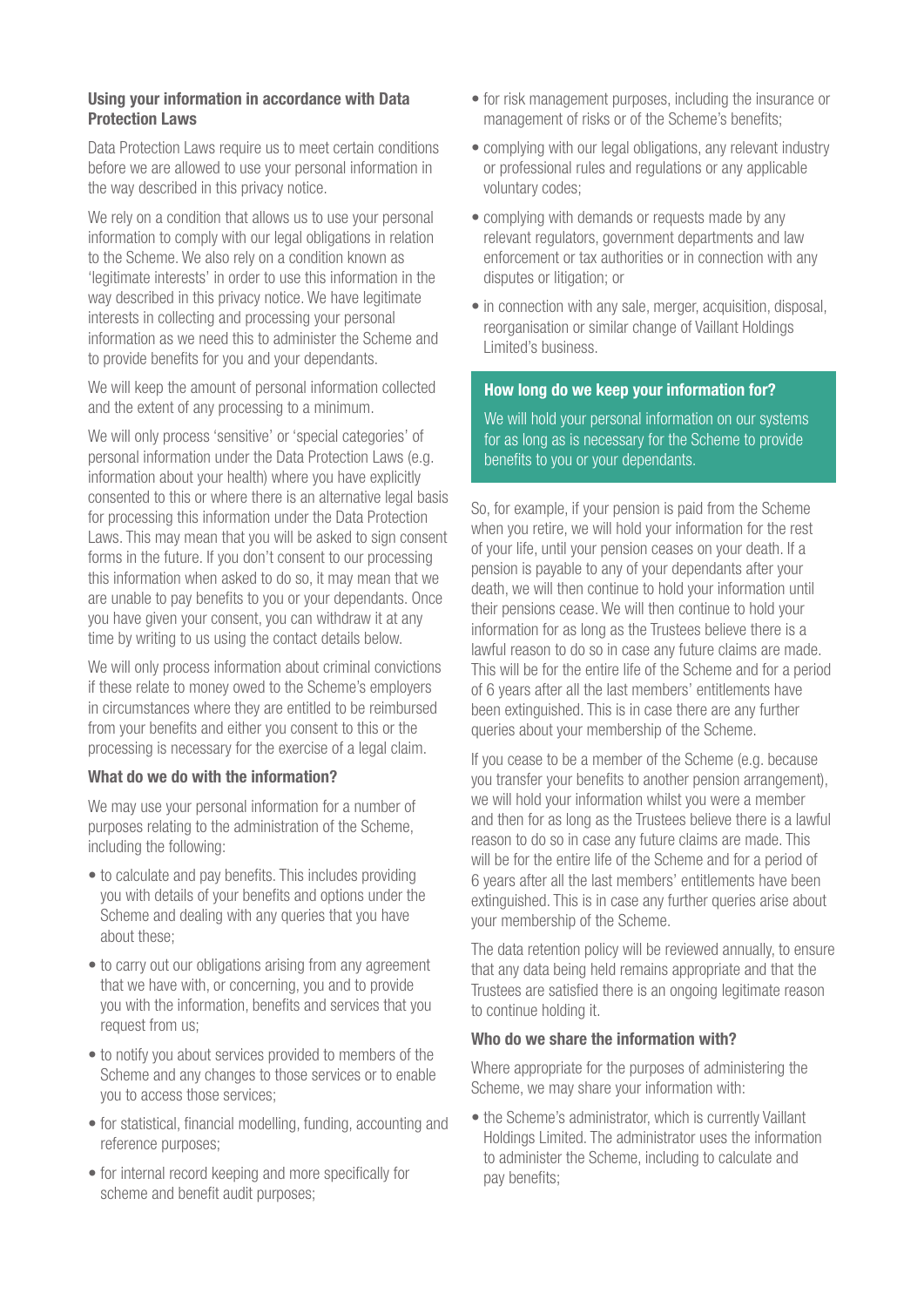## Using your information in accordance with Data Protection Laws

Data Protection Laws require us to meet certain conditions before we are allowed to use your personal information in the way described in this privacy notice.

We rely on a condition that allows us to use your personal information to comply with our legal obligations in relation to the Scheme. We also rely on a condition known as 'legitimate interests' in order to use this information in the way described in this privacy notice. We have legitimate interests in collecting and processing your personal information as we need this to administer the Scheme and to provide benefits for you and your dependants.

We will keep the amount of personal information collected and the extent of any processing to a minimum.

We will only process 'sensitive' or 'special categories' of personal information under the Data Protection Laws (e.g. information about your health) where you have explicitly consented to this or where there is an alternative legal basis for processing this information under the Data Protection Laws. This may mean that you will be asked to sign consent forms in the future. If you don't consent to our processing this information when asked to do so, it may mean that we are unable to pay benefits to you or your dependants. Once you have given your consent, you can withdraw it at any time by writing to us using the contact details below.

We will only process information about criminal convictions if these relate to money owed to the Scheme's employers in circumstances where they are entitled to be reimbursed from your benefits and either you consent to this or the processing is necessary for the exercise of a legal claim.

#### What do we do with the information?

We may use your personal information for a number of purposes relating to the administration of the Scheme, including the following:

- to calculate and pay benefits. This includes providing you with details of your benefits and options under the Scheme and dealing with any queries that you have about these;
- to carry out our obligations arising from any agreement that we have with, or concerning, you and to provide you with the information, benefits and services that you request from us;
- to notify you about services provided to members of the Scheme and any changes to those services or to enable you to access those services;
- for statistical, financial modelling, funding, accounting and reference purposes;
- for internal record keeping and more specifically for scheme and benefit audit purposes;
- for risk management purposes, including the insurance or management of risks or of the Scheme's benefits;
- complying with our legal obligations, any relevant industry or professional rules and regulations or any applicable voluntary codes;
- complying with demands or requests made by any relevant regulators, government departments and law enforcement or tax authorities or in connection with any disputes or litigation; or
- in connection with any sale, merger, acquisition, disposal, reorganisation or similar change of Vaillant Holdings Limited's business.

#### How long do we keep your information for?

We will hold your personal information on our systems for as long as is necessary for the Scheme to provide benefits to you or your dependants.

So, for example, if your pension is paid from the Scheme when you retire, we will hold your information for the rest of your life, until your pension ceases on your death. If a pension is payable to any of your dependants after your death, we will then continue to hold your information until their pensions cease. We will then continue to hold your information for as long as the Trustees believe there is a lawful reason to do so in case any future claims are made. This will be for the entire life of the Scheme and for a period of 6 years after all the last members' entitlements have been extinguished. This is in case there are any further queries about your membership of the Scheme.

If you cease to be a member of the Scheme (e.g. because you transfer your benefits to another pension arrangement), we will hold your information whilst you were a member and then for as long as the Trustees believe there is a lawful reason to do so in case any future claims are made. This will be for the entire life of the Scheme and for a period of 6 years after all the last members' entitlements have been extinguished. This is in case any further queries arise about your membership of the Scheme.

The data retention policy will be reviewed annually, to ensure that any data being held remains appropriate and that the Trustees are satisfied there is an ongoing legitimate reason to continue holding it.

#### Who do we share the information with?

Where appropriate for the purposes of administering the Scheme, we may share your information with:

• the Scheme's administrator, which is currently Vaillant Holdings Limited. The administrator uses the information to administer the Scheme, including to calculate and pay benefits;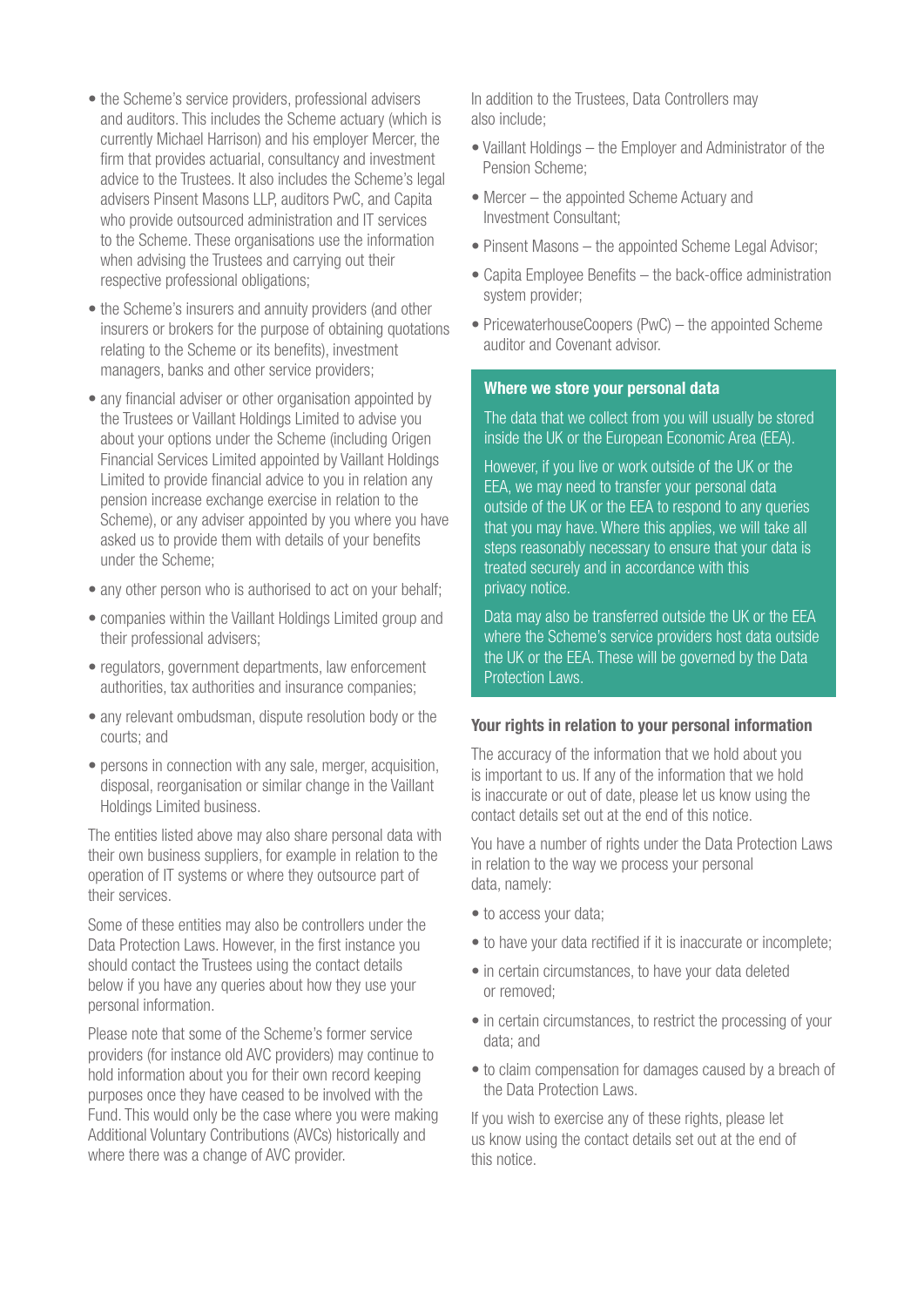- the Scheme's service providers, professional advisers and auditors. This includes the Scheme actuary (which is currently Michael Harrison) and his employer Mercer, the firm that provides actuarial, consultancy and investment advice to the Trustees. It also includes the Scheme's legal advisers Pinsent Masons LLP, auditors PwC, and Capita who provide outsourced administration and IT services to the Scheme. These organisations use the information when advising the Trustees and carrying out their respective professional obligations;
- the Scheme's insurers and annuity providers (and other insurers or brokers for the purpose of obtaining quotations relating to the Scheme or its benefits), investment managers, banks and other service providers;
- any financial adviser or other organisation appointed by the Trustees or Vaillant Holdings Limited to advise you about your options under the Scheme (including Origen Financial Services Limited appointed by Vaillant Holdings Limited to provide financial advice to you in relation any pension increase exchange exercise in relation to the Scheme), or any adviser appointed by you where you have asked us to provide them with details of your benefits under the Scheme;
- any other person who is authorised to act on your behalf:
- companies within the Vaillant Holdings Limited group and their professional advisers;
- regulators, government departments, law enforcement authorities, tax authorities and insurance companies;
- any relevant ombudsman, dispute resolution body or the courts; and
- persons in connection with any sale, merger, acquisition, disposal, reorganisation or similar change in the Vaillant Holdings Limited business.

The entities listed above may also share personal data with their own business suppliers, for example in relation to the operation of IT systems or where they outsource part of their services.

Some of these entities may also be controllers under the Data Protection Laws. However, in the first instance you should contact the Trustees using the contact details below if you have any queries about how they use your personal information.

Please note that some of the Scheme's former service providers (for instance old AVC providers) may continue to hold information about you for their own record keeping purposes once they have ceased to be involved with the Fund. This would only be the case where you were making Additional Voluntary Contributions (AVCs) historically and where there was a change of AVC provider.

In addition to the Trustees, Data Controllers may also include;

- Vaillant Holdings the Employer and Administrator of the Pension Scheme;
- Mercer the appointed Scheme Actuary and Investment Consultant;
- Pinsent Masons the appointed Scheme Legal Advisor;
- Capita Employee Benefits the back-office administration system provider;
- PricewaterhouseCoopers (PwC) the appointed Scheme auditor and Covenant advisor.

#### Where we store your personal data

The data that we collect from you will usually be stored inside the UK or the European Economic Area (EEA).

However, if you live or work outside of the UK or the EEA, we may need to transfer your personal data outside of the UK or the EEA to respond to any queries that you may have. Where this applies, we will take all steps reasonably necessary to ensure that your data is treated securely and in accordance with this privacy notice.

Data may also be transferred outside the UK or the EEA where the Scheme's service providers host data outside the UK or the EEA. These will be governed by the Data Protection Laws.

#### Your rights in relation to your personal information

The accuracy of the information that we hold about you is important to us. If any of the information that we hold is inaccurate or out of date, please let us know using the contact details set out at the end of this notice.

You have a number of rights under the Data Protection Laws in relation to the way we process your personal data, namely:

- to access your data;
- to have your data rectified if it is inaccurate or incomplete;
- in certain circumstances, to have your data deleted or removed;
- in certain circumstances, to restrict the processing of your data; and
- to claim compensation for damages caused by a breach of the Data Protection Laws.

If you wish to exercise any of these rights, please let us know using the contact details set out at the end of this notice.